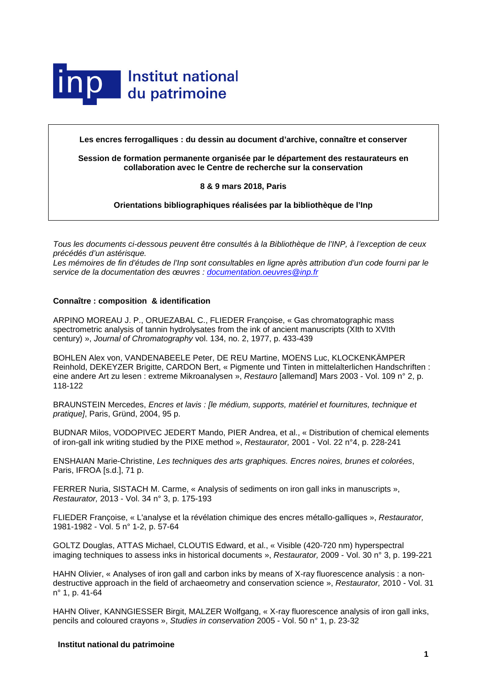

**Les encres ferrogalliques : du dessin au document d'archive, connaître et conserver**

**Session de formation permanente organisée par le département des restaurateurs en collaboration avec le Centre de recherche sur la conservation**

## **8 & 9 mars 2018, Paris**

**Orientations bibliographiques réalisées par la bibliothèque de l'Inp**

*Tous les documents ci-dessous peuvent être consultés à la Bibliothèque de l'INP, à l'exception de ceux précédés d'un astérisque.*

Les mémoires de fin d'études de l'Inp sont consultables en ligne après attribution d'un code fourni par le *service de la documentation des œuvres : [documentation.oeuvres@inp.fr](mailto:documentation.oeuvres@inp.fr)*

## **Connaître : composition & identification**

ARPINO MOREAU J. P., ORUEZABAL C., FLIEDER Françoise, « Gas chromatographic mass spectrometric analysis of tannin hydrolysates from the ink of ancient manuscripts (XIth to XVIth century) », *Journal of Chromatography* vol. 134, no. 2, 1977, p. 433-439

BOHLEN Alex von, VANDENABEELE Peter, DE REU Martine, MOENS Luc, KLOCKENKÄMPER Reinhold, DEKEYZER Brigitte, CARDON Bert, « Pigmente und Tinten in mittelalterlichen Handschriften : eine andere Art zu lesen : extreme Mikroanalysen », *Restauro* [allemand] Mars 2003 - Vol. 109 n° 2, p. 118-122

BRAUNSTEIN Mercedes, *Encres et lavis : [le médium, supports, matériel et fournitures, technique et pratique]*, Paris, Gründ, 2004, 95 p.

BUDNAR Milos, VODOPIVEC JEDERT Mando, PIER Andrea, et al., « Distribution of chemical elements of iron-gall ink writing studied by the PIXE method », *Restaurator,* 2001 - Vol. 22 n°4, p. 228-241

ENSHAIAN Marie-Christine, *Les techniques des arts graphiques. Encres noires, brunes et colorées*, Paris, IFROA [s.d.], 71 p.

FERRER Nuria, SISTACH M. Carme, « Analysis of sediments on iron gall inks in manuscripts », *Restaurator,* 2013 - Vol. 34 n° 3, p. 175-193

FLIEDER Françoise, « L'analyse et la révélation chimique des encres métallo-galliques », *Restaurator,* 1981-1982 - Vol. 5 n° 1-2, p. 57-64

GOLTZ Douglas, ATTAS Michael, CLOUTIS Edward, et al., « Visible (420-720 nm) hyperspectral imaging techniques to assess inks in historical documents », *Restaurator,* 2009 - Vol. 30 n° 3, p. 199-221

HAHN Olivier, « Analyses of iron gall and carbon inks by means of X-ray fluorescence analysis : a nondestructive approach in the field of archaeometry and conservation science », *Restaurator,* 2010 - Vol. 31 n° 1, p. 41-64

HAHN Oliver, KANNGIESSER Birgit, MALZER Wolfgang, « X-ray fluorescence analysis of iron gall inks, pencils and coloured crayons », *Studies in conservation* 2005 - Vol. 50 n° 1, p. 23-32

# **Institut national du patrimoine**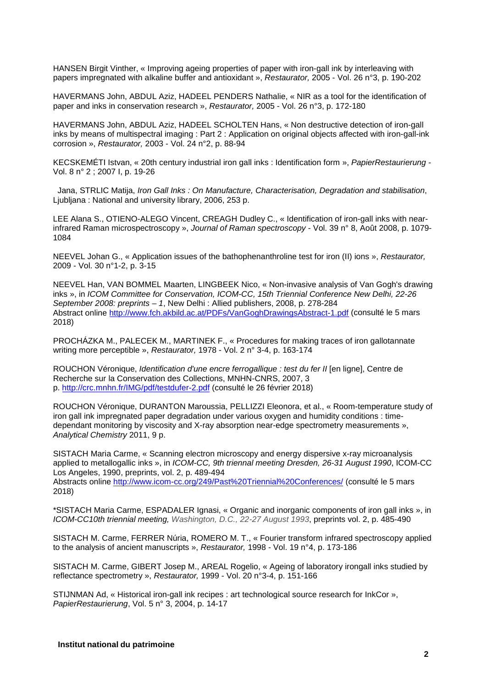HANSEN Birgit Vinther, « Improving ageing properties of paper with iron-gall ink by interleaving with papers impregnated with alkaline buffer and antioxidant », *Restaurator,* 2005 - Vol. 26 n°3, p. 190-202

HAVERMANS John, ABDUL Aziz, HADEEL PENDERS Nathalie, « NIR as a tool for the identification of paper and inks in conservation research », *Restaurator,* 2005 - Vol. 26 n°3, p. 172-180

HAVERMANS John, ABDUL Aziz, HADEEL SCHOLTEN Hans, « Non destructive detection of iron-gall inks by means of multispectral imaging : Part 2 : Application on original objects affected with iron-gall-ink corrosion », *Restaurator,* 2003 - Vol. 24 n°2, p. 88-94

KECSKEMÉTI Istvan, « 20th century industrial iron gall inks : Identification form », *PapierRestaurierung* - Vol. 8 n° 2 ; 2007 I, p. 19-26

Jana, STRLIC Matija, *Iron Gall Inks : On Manufacture, Characterisation, Degradation and stabilisation*, Ljubljana : National and university library, 2006, 253 p.

LEE Alana S., OTIENO-ALEGO Vincent, CREAGH Dudley C., « Identification of iron-gall inks with nearinfrared Raman microspectroscopy », *Journal of Raman spectroscopy* - Vol. 39 n° 8, Août 2008, p. 1079- 1084

NEEVEL Johan G., « Application issues of the bathophenanthroline test for iron (II) ions », *Restaurator,* 2009 - Vol. 30 n°1-2, p. 3-15

NEEVEL Han, VAN BOMMEL Maarten, LINGBEEK Nico, « Non-invasive analysis of Van Gogh's drawing inks », in *ICOM Committee for Conservation, ICOM-CC, 15th Triennial Conference New Delhi, 22-26 September 2008: preprints – 1*, New Delhi : Allied publishers, 2008, p. 278-284 Abstract online<http://www.fch.akbild.ac.at/PDFs/VanGoghDrawingsAbstract-1.pdf> (consulté le 5 mars 2018)

PROCHÁZKA M., PALECEK M., MARTINEK F., « Procedures for making traces of iron gallotannate writing more perceptible », *Restaurator,* 1978 - Vol. 2 n° 3-4, p. 163-174

ROUCHON Véronique, *Identification d'une encre ferrogallique : test du fer II* [en ligne], Centre de Recherche sur la Conservation des Collections, MNHN-CNRS, 2007, 3 p.<http://crc.mnhn.fr/IMG/pdf/testdufer-2.pdf> (consulté le 26 février 2018)

ROUCHON Véronique, DURANTON Maroussia, PELLIZZI Eleonora, et al., « Room-temperature study of iron gall ink impregnated paper degradation under various oxygen and humidity conditions : timedependant monitoring by viscosity and X-ray absorption near-edge spectrometry measurements », *Analytical Chemistry* 2011, 9 p.

SISTACH Maria Carme, « Scanning electron microscopy and energy dispersive x-ray microanalysis applied to metallogallic inks », in *ICOM-CC, 9th triennal meeting Dresden, 26-31 August 1990*, ICOM-CC Los Angeles, 1990, preprints, vol. 2, p. 489-494

Abstracts online<http://www.icom-cc.org/249/Past%20Triennial%20Conferences/> (consulté le 5 mars 2018)

\*SISTACH Maria Carme, ESPADALER Ignasi, « Organic and inorganic components of iron gall inks », in *ICOM-CC10th triennial meeting, Washington, D.C., 22-27 August 1993*, preprints vol. 2, p. 485-490

SISTACH M. Carme, FERRER Núria, ROMERO M. T., « Fourier transform infrared spectroscopy applied to the analysis of ancient manuscripts », *Restaurator,* 1998 - Vol. 19 n°4, p. 173-186

SISTACH M. Carme, GIBERT Josep M., AREAL Rogelio, « Ageing of laboratory irongall inks studied by reflectance spectrometry », *Restaurator,* 1999 - Vol. 20 n°3-4, p. 151-166

STIJNMAN Ad, « Historical iron-gall ink recipes : art technological source research for InkCor », *PapierRestaurierung*, Vol. 5 n° 3, 2004, p. 14-17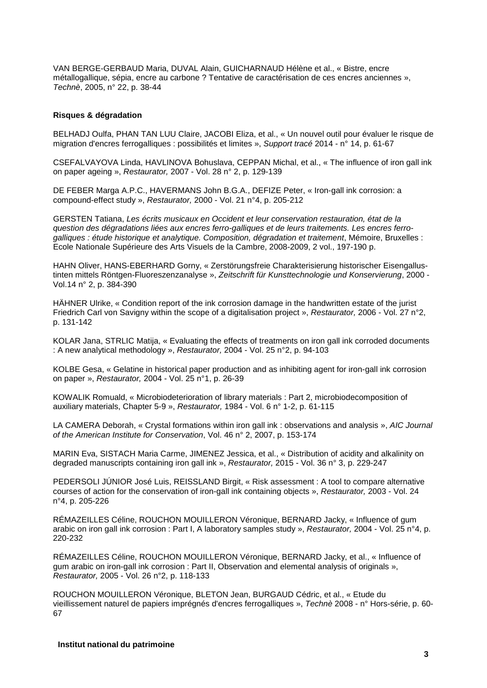VAN BERGE-GERBAUD Maria, DUVAL Alain, GUICHARNAUD Hélène et al., « Bistre, encre métallogallique, sépia, encre au carbone ? Tentative de caractérisation de ces encres anciennes », *Technè*, 2005, n° 22, p. 38-44

### **Risques & dégradation**

BELHADJ Oulfa, PHAN TAN LUU Claire, JACOBI Eliza, et al., « Un nouvel outil pour évaluer le risque de migration d'encres ferrogalliques : possibilités et limites », *Support tracé* 2014 - n° 14, p. 61-67

CSEFALVAYOVA Linda, HAVLINOVA Bohuslava, CEPPAN Michal, et al., « The influence of iron gall ink on paper ageing », *Restaurator,* 2007 - Vol. 28 n° 2, p. 129-139

DE FEBER Marga A.P.C., HAVERMANS John B.G.A., DEFIZE Peter, « Iron-gall ink corrosion: a compound-effect study », *Restaurator,* 2000 - Vol. 21 n°4, p. 205-212

GERSTEN Tatiana, *Les écrits musicaux en Occident et leur conservation restauration, état de la question des dégradations liées aux encres ferro-galliques et de leurs traitements. Les encres ferrogalliques : étude historique et analytique. Composition, dégradation et traitement*, Mémoire, Bruxelles : Ecole Nationale Supérieure des Arts Visuels de la Cambre, 2008-2009, 2 vol., 197-190 p.

HAHN Oliver, HANS-EBERHARD Gorny, « Zerstörungsfreie Charakterisierung historischer Eisengallustinten mittels Röntgen-Fluoreszenzanalyse », *Zeitschrift für Kunsttechnologie und Konservierung*, 2000 - Vol.14 n° 2, p. 384-390

HÄHNER Ulrike, « Condition report of the ink corrosion damage in the handwritten estate of the jurist Friedrich Carl von Savigny within the scope of a digitalisation project », *Restaurator,* 2006 - Vol. 27 n°2, p. 131-142

KOLAR Jana, STRLIC Matija, « Evaluating the effects of treatments on iron gall ink corroded documents : A new analytical methodology », *Restaurator,* 2004 - Vol. 25 n°2, p. 94-103

KOLBE Gesa, « Gelatine in historical paper production and as inhibiting agent for iron-gall ink corrosion on paper », *Restaurator,* 2004 - Vol. 25 n°1, p. 26-39

KOWALIK Romuald, « Microbiodeterioration of library materials : Part 2, microbiodecomposition of auxiliary materials, Chapter 5-9 », *Restaurator,* 1984 - Vol. 6 n° 1-2, p. 61-115

LA CAMERA Deborah, « Crystal formations within iron gall ink : observations and analysis », *AIC Journal of the American Institute for Conservation*, Vol. 46 n° 2, 2007, p. 153-174

MARIN Eva, SISTACH Maria Carme, JIMENEZ Jessica, et al., « Distribution of acidity and alkalinity on degraded manuscripts containing iron gall ink », *Restaurator,* 2015 - Vol. 36 n° 3, p. 229-247

PEDERSOLI JÚNIOR José Luis, REISSLAND Birgit, « Risk assessment : A tool to compare alternative courses of action for the conservation of iron-gall ink containing objects », *Restaurator,* 2003 - Vol. 24 n°4, p. 205-226

RÉMAZEILLES Céline, ROUCHON MOUILLERON Véronique, BERNARD Jacky, « Influence of gum arabic on iron gall ink corrosion : Part I, A laboratory samples study », *Restaurator,* 2004 - Vol. 25 n°4, p. 220-232

RÉMAZEILLES Céline, ROUCHON MOUILLERON Véronique, BERNARD Jacky, et al., « Influence of gum arabic on iron-gall ink corrosion : Part II, Observation and elemental analysis of originals », *Restaurator,* 2005 - Vol. 26 n°2, p. 118-133

ROUCHON MOUILLERON Véronique, BLETON Jean, BURGAUD Cédric, et al., « Etude du vieillissement naturel de papiers imprégnés d'encres ferrogalliques », *Technè* 2008 - n° Hors-série, p. 60- 67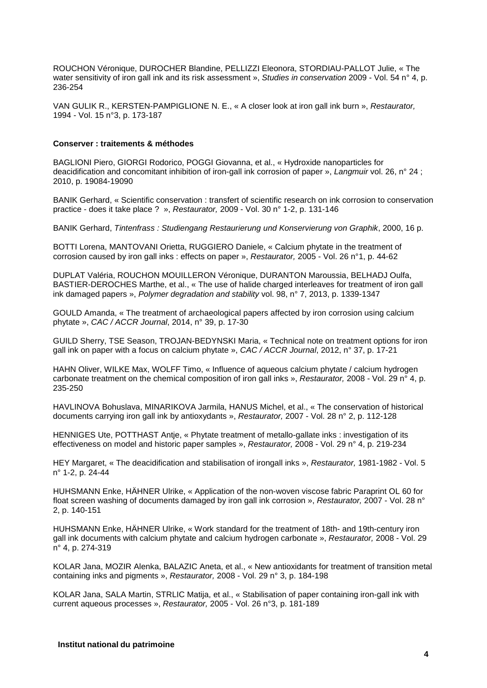ROUCHON Véronique, DUROCHER Blandine, PELLIZZI Eleonora, STORDIAU-PALLOT Julie, « The water sensitivity of iron gall ink and its risk assessment », *Studies in conservation* 2009 - Vol. 54 n° 4, p. 236-254

VAN GULIK R., KERSTEN-PAMPIGLIONE N. E., « A closer look at iron gall ink burn », *Restaurator,* 1994 - Vol. 15 n°3, p. 173-187

#### **Conserver : traitements & méthodes**

BAGLIONI Piero, GIORGI Rodorico, POGGI Giovanna, et al., « Hydroxide nanoparticles for deacidification and concomitant inhibition of iron-gall ink corrosion of paper », *Langmuir* vol. 26, n° 24 ; 2010, p. 19084-19090

BANIK Gerhard, « Scientific conservation : transfert of scientific research on ink corrosion to conservation practice - does it take place ? », *Restaurator,* 2009 - Vol. 30 n° 1-2, p. 131-146

BANIK Gerhard, *Tintenfrass : Studiengang Restaurierung und Konservierung von Graphik*, 2000, 16 p.

BOTTI Lorena, MANTOVANI Orietta, RUGGIERO Daniele, « Calcium phytate in the treatment of corrosion caused by iron gall inks : effects on paper », *Restaurator,* 2005 - Vol. 26 n°1, p. 44-62

DUPLAT Valéria, ROUCHON MOUILLERON Véronique, DURANTON Maroussia, BELHADJ Oulfa, BASTIER-DEROCHES Marthe, et al., « The use of halide charged interleaves for treatment of iron gall ink damaged papers », *Polymer degradation and stability* vol. 98, n° 7, 2013, p. 1339-1347

GOULD Amanda, « The treatment of archaeological papers affected by iron corrosion using calcium phytate », *CAC / ACCR Journal*, 2014, n° 39, p. 17-30

GUILD Sherry, TSE Season, TROJAN-BEDYNSKI Maria, « Technical note on treatment options for iron gall ink on paper with a focus on calcium phytate », *CAC / ACCR Journal*, 2012, n° 37, p. 17-21

HAHN Oliver, WILKE Max, WOLFF Timo, « Influence of aqueous calcium phytate / calcium hydrogen carbonate treatment on the chemical composition of iron gall inks », *Restaurator,* 2008 - Vol. 29 n° 4, p. 235-250

HAVLINOVA Bohuslava, MINARIKOVA Jarmila, HANUS Michel, et al., « The conservation of historical documents carrying iron gall ink by antioxydants », *Restaurator,* 2007 - Vol. 28 n° 2, p. 112-128

HENNIGES Ute, POTTHAST Antje, « Phytate treatment of metallo-gallate inks : investigation of its effectiveness on model and historic paper samples », *Restaurator,* 2008 - Vol. 29 n° 4, p. 219-234

HEY Margaret, « The deacidification and stabilisation of irongall inks », *Restaurator,* 1981-1982 - Vol. 5 n° 1-2, p. 24-44

HUHSMANN Enke, HÄHNER Ulrike, « Application of the non-woven viscose fabric Paraprint OL 60 for float screen washing of documents damaged by iron gall ink corrosion », *Restaurator,* 2007 - Vol. 28 n° 2, p. 140-151

HUHSMANN Enke, HÄHNER Ulrike, « Work standard for the treatment of 18th- and 19th-century iron gall ink documents with calcium phytate and calcium hydrogen carbonate », *Restaurator,* 2008 - Vol. 29 n° 4, p. 274-319

KOLAR Jana, MOZIR Alenka, BALAZIC Aneta, et al., « New antioxidants for treatment of transition metal containing inks and pigments », *Restaurator,* 2008 - Vol. 29 n° 3, p. 184-198

KOLAR Jana, SALA Martin, STRLIC Matija, et al., « Stabilisation of paper containing iron-gall ink with current aqueous processes », *Restaurator,* 2005 - Vol. 26 n°3, p. 181-189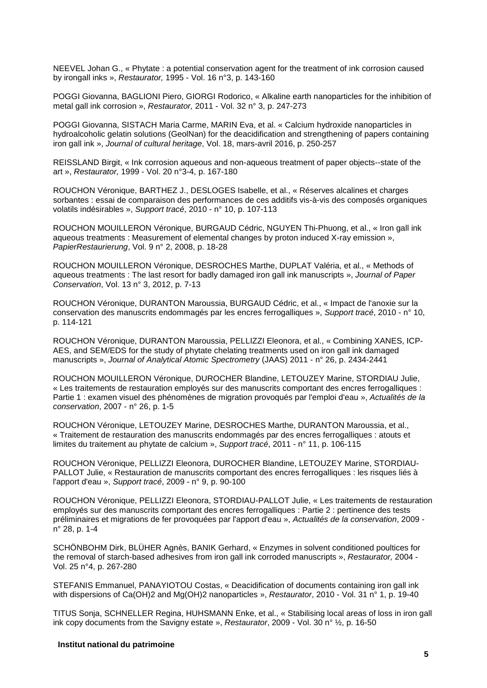NEEVEL Johan G., « Phytate : a potential conservation agent for the treatment of ink corrosion caused by irongall inks », *Restaurator,* 1995 - Vol. 16 n°3, p. 143-160

POGGI Giovanna, BAGLIONI Piero, GIORGI Rodorico, « Alkaline earth nanoparticles for the inhibition of metal gall ink corrosion », *Restaurator,* 2011 - Vol. 32 n° 3, p. 247-273

POGGI Giovanna, SISTACH Maria Carme, MARIN Eva, et al. « Calcium hydroxide nanoparticles in hydroalcoholic gelatin solutions (GeolNan) for the deacidification and strengthening of papers containing iron gall ink », *Journal of cultural heritage*, Vol. 18, mars-avril 2016, p. 250-257

REISSLAND Birgit, « Ink corrosion aqueous and non-aqueous treatment of paper objects--state of the art », *Restaurator,* 1999 - Vol. 20 n°3-4, p. 167-180

ROUCHON Véronique, BARTHEZ J., DESLOGES Isabelle, et al., « Réserves alcalines et charges sorbantes : essai de comparaison des performances de ces additifs vis-à-vis des composés organiques volatils indésirables », *Support tracé*, 2010 - n° 10, p. 107-113

ROUCHON MOUILLERON Véronique, BURGAUD Cédric, NGUYEN Thi-Phuong, et al., « Iron gall ink aqueous treatments : Measurement of elemental changes by proton induced X-ray emission », *PapierRestaurierung*, Vol. 9 n° 2, 2008, p. 18-28

ROUCHON MOUILLERON Véronique, DESROCHES Marthe, DUPLAT Valéria, et al., « Methods of aqueous treatments : The last resort for badly damaged iron gall ink manuscripts », *Journal of Paper Conservation*, Vol. 13 n° 3, 2012, p. 7-13

ROUCHON Véronique, DURANTON Maroussia, BURGAUD Cédric, et al., « Impact de l'anoxie sur la conservation des manuscrits endommagés par les encres ferrogalliques », *Support tracé*, 2010 - n° 10, p. 114-121

ROUCHON Véronique, DURANTON Maroussia, PELLIZZI Eleonora, et al., « Combining XANES, ICP-AES, and SEM/EDS for the study of phytate chelating treatments used on iron gall ink damaged manuscripts », *Journal of Analytical Atomic Spectrometry* (JAAS) 2011 - n° 26, p. 2434-2441

ROUCHON MOUILLERON Véronique, DUROCHER Blandine, LETOUZEY Marine, STORDIAU Julie, « Les traitements de restauration employés sur des manuscrits comportant des encres ferrogalliques : Partie 1 : examen visuel des phénomènes de migration provoqués par l'emploi d'eau », *Actualités de la conservation*, 2007 - n° 26, p. 1-5

ROUCHON Véronique, LETOUZEY Marine, DESROCHES Marthe, DURANTON Maroussia, et al., « Traitement de restauration des manuscrits endommagés par des encres ferrogalliques : atouts et limites du traitement au phytate de calcium », *Support tracé*, 2011 - n° 11, p. 106-115

ROUCHON Véronique, PELLIZZI Eleonora, DUROCHER Blandine, LETOUZEY Marine, STORDIAU-PALLOT Julie, « Restauration de manuscrits comportant des encres ferrogalliques : les risques liés à l'apport d'eau », *Support tracé*, 2009 - n° 9, p. 90-100

ROUCHON Véronique, PELLIZZI Eleonora, STORDIAU-PALLOT Julie, « Les traitements de restauration employés sur des manuscrits comportant des encres ferrogalliques : Partie 2 : pertinence des tests préliminaires et migrations de fer provoquées par l'apport d'eau », *Actualités de la conservation*, 2009 n° 28, p. 1-4

SCHÖNBOHM Dirk, BLÜHER Agnès, BANIK Gerhard, « Enzymes in solvent conditioned poultices for the removal of starch-based adhesives from iron gall ink corroded manuscripts », *Restaurator,* 2004 - Vol. 25 n°4, p. 267-280

STEFANIS Emmanuel, PANAYIOTOU Costas, « Deacidification of documents containing iron gall ink with dispersions of Ca(OH)2 and Mg(OH)2 nanoparticles », *Restaurator*, 2010 - Vol. 31 n° 1, p. 19-40

TITUS Sonja, SCHNELLER Regina, HUHSMANN Enke, et al., « Stabilising local areas of loss in iron gall ink copy documents from the Savigny estate », *Restaurator*, 2009 - Vol. 30 n° ½, p. 16-50

### **Institut national du patrimoine**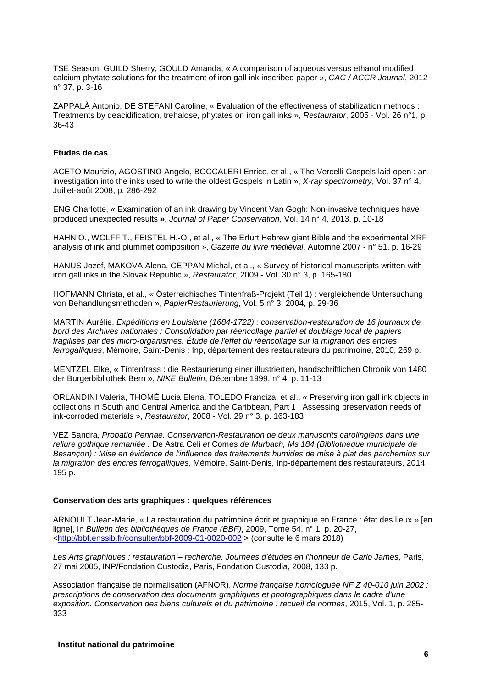TSE Season, GUILD Sherry, GOULD Amanda, « A comparison of aqueous versus ethanol modified calcium phytate solutions for the treatment of iron gall ink inscribed paper », *CAC / ACCR Journal*, 2012 n° 37, p. 3-16

ZAPPALÀ Antonio, DE STEFANI Caroline, « Evaluation of the effectiveness of stabilization methods : Treatments by deacidification, trehalose, phytates on iron gall inks », *Restaurator*, 2005 - Vol. 26 n°1, p. 36-43

## **Etudes de cas**

ACETO Maurizio, AGOSTINO Angelo, BOCCALERI Enrico, et al., « The Vercelli Gospels laid open : an investigation into the inks used to write the oldest Gospels in Latin », *X-ray spectrometry*, Vol. 37 n° 4, Juillet-août 2008, p. 286-292

ENG Charlotte, « Examination of an ink drawing by Vincent Van Gogh: Non-invasive techniques have produced unexpected results **»**, *Journal of Paper Conservation*, Vol. 14 n° 4, 2013, p. 10-18

HAHN O., WOLFF T., FEISTEL H.-O., et al., « The Erfurt Hebrew giant Bible and the experimental XRF analysis of ink and plummet composition », *Gazette du livre médiéval*, Automne 2007 - n° 51, p. 16-29

HANUS Jozef, MAKOVA Alena, CEPPAN Michal, et al., « Survey of historical manuscripts written with iron gall inks in the Slovak Republic », *Restaurator*, 2009 - Vol. 30 n° 3, p. 165-180

HOFMANN Christa, et al., « Österreichisches Tintenfraß-Projekt (Teil 1) : vergleichende Untersuchung von Behandlungsmethoden », *PapierRestaurierung*, Vol. 5 n° 3, 2004, p. 29-36

MARTIN Aurélie, *Expéditions en Louisiane (1684-1722) : conservation-restauration de 16 journaux de bord des Archives nationales : Consolidation par réencollage partiel et doublage local de papiers fragilisés par des micro-organismes. Étude de l'effet du réencollage sur la migration des encres ferrogalliques*, Mémoire, Saint-Denis : Inp, département des restaurateurs du patrimoine, 2010, 269 p.

MENTZEL Elke, « Tintenfrass : die Restaurierung einer illustrierten, handschriftlichen Chronik von 1480 der Burgerbibliothek Bern », *NIKE Bulletin*, Décembre 1999, n° 4, p. 11-13

ORLANDINI Valeria, THOMÉ Lucia Elena, TOLEDO Franciza, et al., « Preserving iron gall ink objects in collections in South and Central America and the Caribbean, Part 1 : Assessing preservation needs of ink-corroded materials », *Restaurator*, 2008 - Vol. 29 n° 3, p. 163-183

VEZ Sandra, *Probatio Pennae. Conservation-Restauration de deux manuscrits carolingiens dans une reliure gothique remaniée :* De Astra Celi *et* Comes *de Murbach, Ms 184 (Bibliothèque municipale de Besançon) : Mise en évidence de l'influence des traitements humides de mise à plat des parchemins sur la migration des encres ferrogalliques*, Mémoire, Saint-Denis, Inp-département des restaurateurs, 2014, 195 p.

### **Conservation des arts graphiques : quelques références**

ARNOULT Jean-Marie, « La restauration du patrimoine écrit et graphique en France : état des lieux » [en ligne], In *Bulletin des bibliothèques de France (BBF)*, 2009, Tome 54, n° 1, p. 20-27, [<http://bbf.enssib.fr/consulter/bbf-2009-01-0020-002](http://bbf.enssib.fr/consulter/bbf-2009-01-0020-002) > (consulté le 6 mars 2018)

*Les Arts graphiques : restauration – recherche. Journées d'études en l'honneur de Carlo James*, Paris, 27 mai 2005, INP/Fondation Custodia, Paris, Fondation Custodia, 2008, 133 p.

Association française de normalisation (AFNOR), *Norme française homologuée NF Z 40-010 juin 2002 : prescriptions de conservation des documents graphiques et photographiques dans le cadre d'une exposition. Conservation des biens culturels et du patrimoine : recueil de normes*, 2015, Vol. 1, p. 285- 333